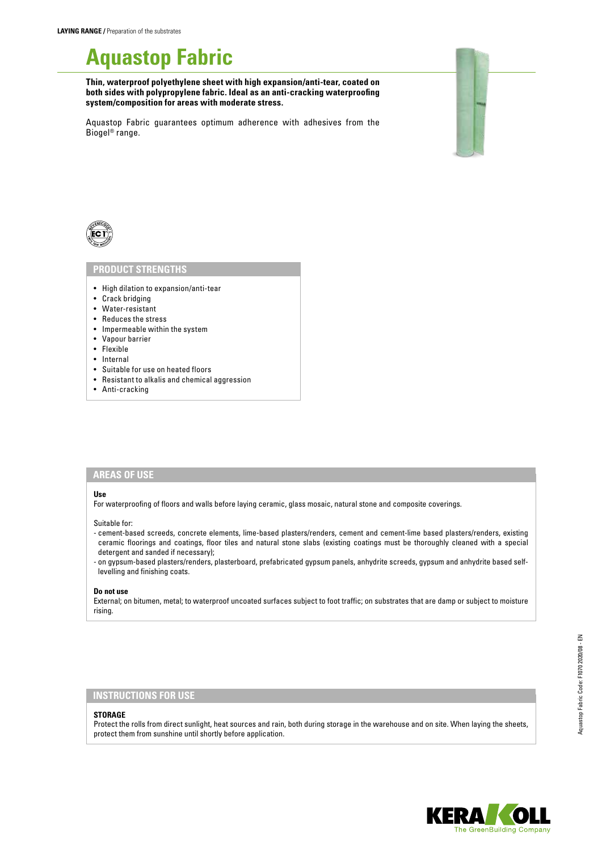# **Aquastop Fabric**

**Thin, waterproof polyethylene sheet with high expansion/anti-tear, coated on both sides with polypropylene fabric. Ideal as an anti-cracking waterproofing system/composition for areas with moderate stress.** 

Aquastop Fabric guarantees optimum adherence with adhesives from the Biogel® range.



## **PRODUCT STRENGTHS**

- High dilation to expansion/anti-tear
- Crack bridging
- Water-resistant
- Reduces the stress
- Impermeable within the system
- Vapour barrier
- Flexible
- Internal
- Suitable for use on heated floors
- Resistant to alkalis and chemical aggression
- Anti-cracking

## **AREAS OF USE**

#### **Use**

For waterproofing of floors and walls before laying ceramic, glass mosaic, natural stone and composite coverings.

#### Suitable for:

- cement-based screeds, concrete elements, lime-based plasters/renders, cement and cement-lime based plasters/renders, existing ceramic floorings and coatings, floor tiles and natural stone slabs (existing coatings must be thoroughly cleaned with a special detergent and sanded if necessary);
- on gypsum-based plasters/renders, plasterboard, prefabricated gypsum panels, anhydrite screeds, gypsum and anhydrite based selflevelling and finishing coats.

#### **Do not use**

External; on bitumen, metal; to waterproof uncoated surfaces subject to foot traffic; on substrates that are damp or subject to moisture rising.

#### **INSTRUCTIONS FOR USE**

#### **STORAGE**

Protect the rolls from direct sunlight, heat sources and rain, both during storage in the warehouse and on site. When laying the sheets, protect them from sunshine until shortly before application.

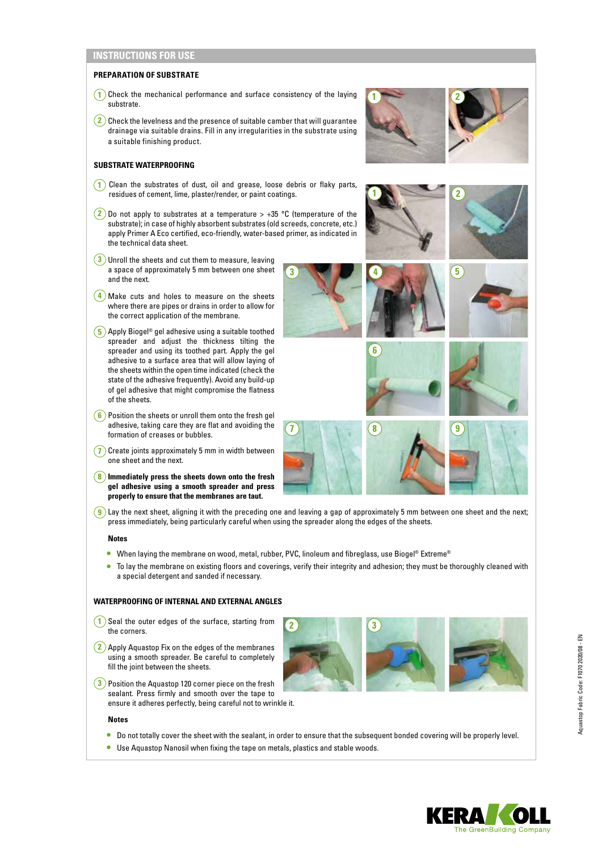# **INSTRUCTIONS FOR USE**

## **PREPARATION OF SUBSTRATE**

- **1** Check the mechanical performance and surface consistency of the laying substrate.
- $\overline{2}$  Check the levelness and the presence of suitable camber that will guarantee drainage via suitable drains. Fill in any irregularities in the substrate using a suitable finishing product.

### **SUBSTRATE WATERPROOFING**

- **1** Clean the substrates of dust, oil and grease, loose debris or flaky parts, residues of cement, lime, plaster/render, or paint coatings.
- **2** Do not apply to substrates at a temperature > +35 °C (temperature of the substrate); in case of highly absorbent substrates (old screeds, concrete, etc.) apply Primer A Eco certified, eco-friendly, water-based primer, as indicated in the technical data sheet.
- **3** Unroll the sheets and cut them to measure, leaving a space of approximately 5 mm between one sheet and the next.
- **4** Make cuts and holes to measure on the sheets where there are pipes or drains in order to allow for the correct application of the membrane.
- **5** Apply Biogel® gel adhesive using a suitable toothed spreader and adjust the thickness tilting the spreader and using its toothed part. Apply the gel adhesive to a surface area that will allow laying of the sheets within the open time indicated (check the state of the adhesive frequently). Avoid any build-up of gel adhesive that might compromise the flatness of the sheets.
- **6** Position the sheets or unroll them onto the fresh gel adhesive, taking care they are flat and avoiding the formation of creases or bubbles.
- **7** Create joints approximately 5 mm in width between one sheet and the next.
- **8 Immediately press the sheets down onto the fresh gel adhesive using a smooth spreader and press properly to ensure that the membranes are taut.**
- **9** Lay the next sheet, aligning it with the preceding one and leaving a gap of approximately 5 mm between one sheet and the next; press immediately, being particularly careful when using the spreader along the edges of the sheets.

#### **Notes**

- When laying the membrane on wood, metal, rubber, PVC, linoleum and fibreglass, use Biogel® Extreme®
- To lay the membrane on existing floors and coverings, verify their integrity and adhesion; they must be thoroughly cleaned with a special detergent and sanded if necessary.

**2 3**

## **WATERPROOFING OF INTERNAL AND EXTERNAL ANGLES**

- **1** Seal the outer edges of the surface, starting from the corners.
- **2** Apply Aquastop Fix on the edges of the membranes using a smooth spreader. Be careful to completely fill the joint between the sheets.
- **3** Position the Aquastop 120 corner piece on the fresh sealant. Press firmly and smooth over the tape to ensure it adheres perfectly, being careful not to wrinkle it.

#### **Notes**

- Do not totally cover the sheet with the sealant, in order to ensure that the subsequent bonded covering will be properly level.
- Use Aquastop Nanosil when fixing the tape on metals, plastics and stable woods.

















Aquastop Fabric Code: F1070 2020/08 - EN

Aquastop Fabric Code: F1070 2020/08 - EN

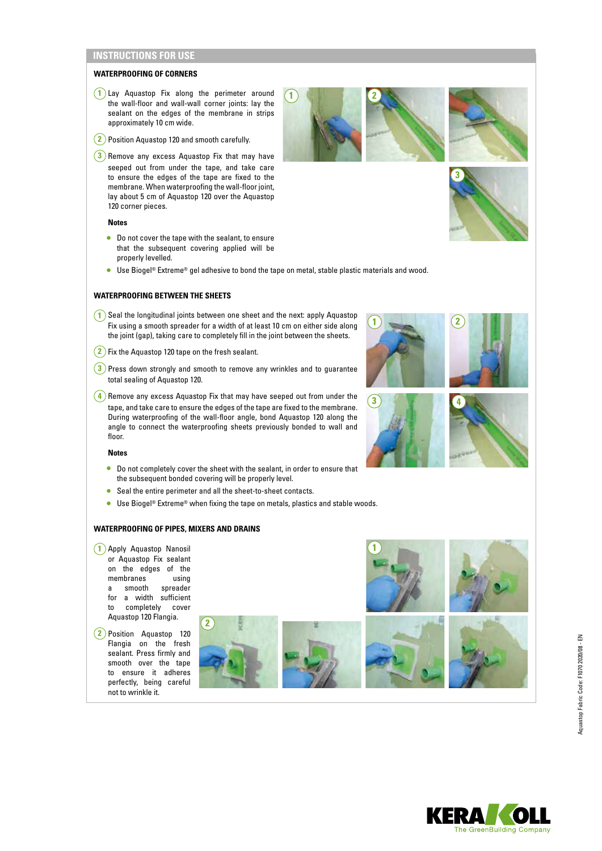# **INSTRUCTIONS FOR USE**

#### **WATERPROOFING OF CORNERS**

- **1** Lay Aquastop Fix along the perimeter around the wall-floor and wall-wall corner joints: lay the sealant on the edges of the membrane in strips approximately 10 cm wide.
- **2** Position Aquastop 120 and smooth carefully.
- **3**) Remove any excess Aquastop Fix that may have seeped out from under the tape, and take care to ensure the edges of the tape are fixed to the membrane. When waterproofing the wall-floor joint, lay about 5 cm of Aquastop 120 over the Aquastop 120 corner pieces.

#### **Notes**

- Do not cover the tape with the sealant, to ensure that the subsequent covering applied will be properly levelled.
- Use Biogel® Extreme® gel adhesive to bond the tape on metal, stable plastic materials and wood.

**1 2**

### **WATERPROOFING BETWEEN THE SHEETS**

- **1** Seal the longitudinal joints between one sheet and the next: apply Aquastop Fix using a smooth spreader for a width of at least 10 cm on either side along the joint (gap), taking care to completely fill in the joint between the sheets.
- **2** Fix the Aquastop 120 tape on the fresh sealant.
- **3** Press down strongly and smooth to remove any wrinkles and to guarantee total sealing of Aquastop 120.
- $\left(4\right)$  Remove any excess Aquastop Fix that may have seeped out from under the tape, and take care to ensure the edges of the tape are fixed to the membrane. During waterproofing of the wall-floor angle, bond Aquastop 120 along the angle to connect the waterproofing sheets previously bonded to wall and floor.

#### **Notes**

- Do not completely cover the sheet with the sealant, in order to ensure that the subsequent bonded covering will be properly level.
- Seal the entire perimeter and all the sheet-to-sheet contacts.
- Use Biogel® Extreme® when fixing the tape on metals, plastics and stable woods.

## **WATERPROOFING OF PIPES, MIXERS AND DRAINS**

**1** Apply Aquastop Nanosil or Aquastop Fix sealant on the edges of the membranes using a smooth spreader for a width sufficient to completely cover Aquastop 120 Flangia.

**2** Position Aquastop 120 Flangia on the fresh sealant. Press firmly and smooth over the tape to ensure it adheres perfectly, being careful not to wrinkle it.





**1**















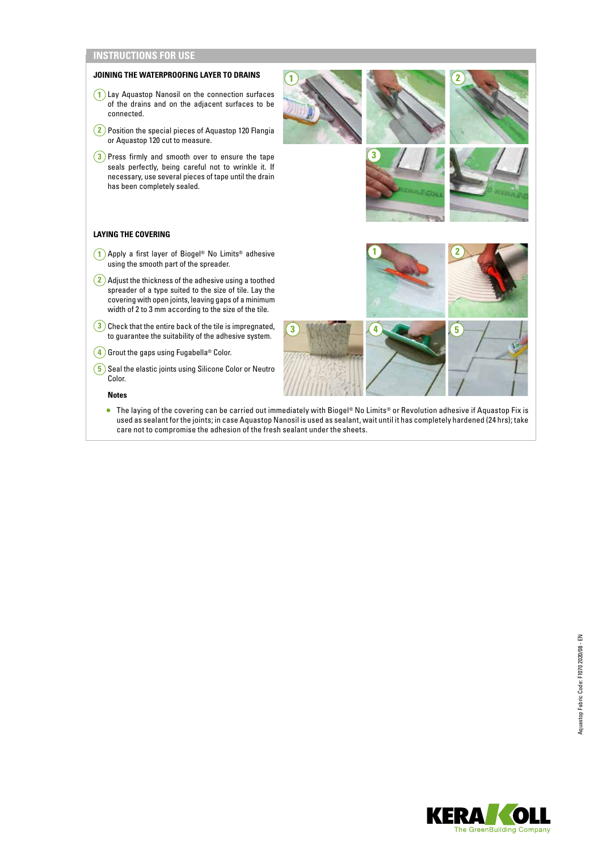# **INSTRUCTIONS FOR USE**



• The laying of the covering can be carried out immediately with Biogel® No Limits® or Revolution adhesive if Aquastop Fix is used as sealant for the joints; in case Aquastop Nanosil is used as sealant, wait until it has completely hardened (24 hrs); take care not to compromise the adhesion of the fresh sealant under the sheets.